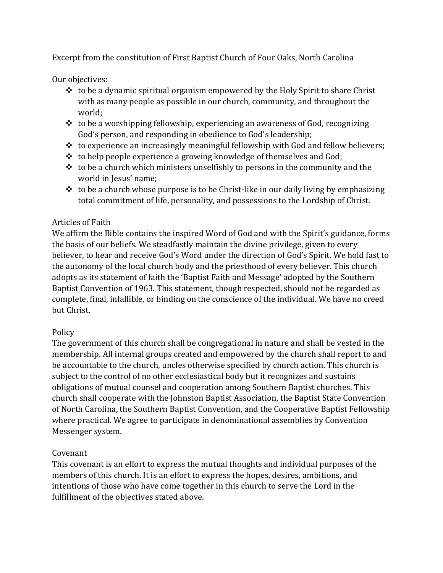Excerpt from the constitution of First Baptist Church of Four Oaks, North Carolina

Our objectives:

- ❖ to be a dynamic spiritual organism empowered by the Holy Spirit to share Christ with as many people as possible in our church, community, and throughout the world;
- $\triangle$  to be a worshipping fellowship, experiencing an awareness of God, recognizing God's person, and responding in obedience to God's leadership;
- ❖ to experience an increasingly meaningful fellowship with God and fellow believers;
- ❖ to help people experience a growing knowledge of themselves and God;
- $\triangle$  to be a church which ministers unselfishly to persons in the community and the world in Jesus' name;
- $\cdot$  to be a church whose purpose is to be Christ-like in our daily living by emphasizing total commitment of life, personality, and possessions to the Lordship of Christ.

## Articles of Faith

We affirm the Bible contains the inspired Word of God and with the Spirit's guidance, forms the basis of our beliefs. We steadfastly maintain the divine privilege, given to every believer, to hear and receive God's Word under the direction of God's Spirit. We hold fast to the autonomy of the local church body and the priesthood of every believer. This church adopts as its statement of faith the 'Baptist Faith and Message' adopted by the Southern Baptist Convention of 1963. This statement, though respected, should not be regarded as complete, final, infallible, or binding on the conscience of the individual. We have no creed but Christ.

## **Policy**

The government of this church shall be congregational in nature and shall be vested in the membership. All internal groups created and empowered by the church shall report to and be accountable to the church, uncles otherwise specified by church action. This church is subject to the control of no other ecclesiastical body but it recognizes and sustains obligations of mutual counsel and cooperation among Southern Baptist churches. This church shall cooperate with the Johnston Baptist Association, the Baptist State Convention of North Carolina, the Southern Baptist Convention, and the Cooperative Baptist Fellowship where practical. We agree to participate in denominational assemblies by Convention Messenger system.

## Covenant

This covenant is an effort to express the mutual thoughts and individual purposes of the members of this church. It is an effort to express the hopes, desires, ambitions, and intentions of those who have come together in this church to serve the Lord in the fulfillment of the objectives stated above.